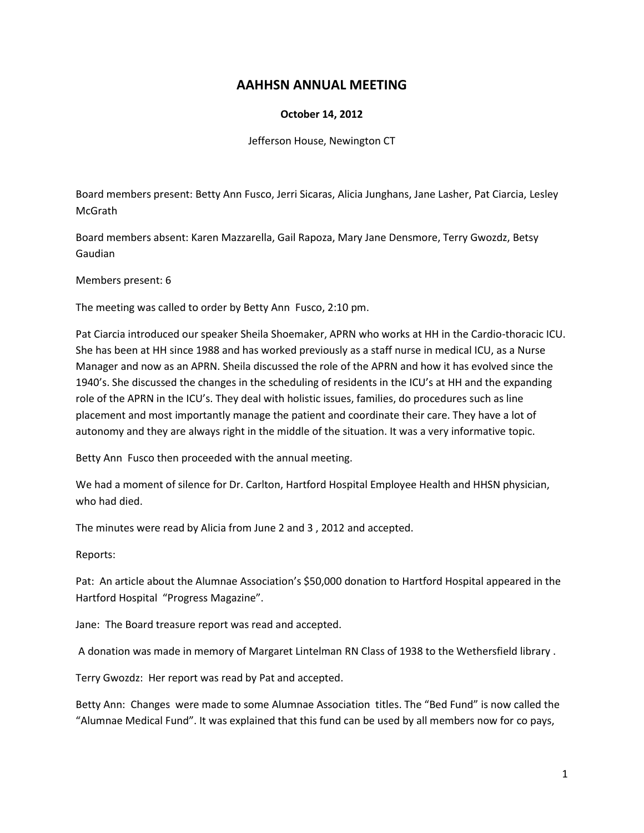# **AAHHSN ANNUAL MEETING**

### **October 14, 2012**

Jefferson House, Newington CT

Board members present: Betty Ann Fusco, Jerri Sicaras, Alicia Junghans, Jane Lasher, Pat Ciarcia, Lesley **McGrath** 

Board members absent: Karen Mazzarella, Gail Rapoza, Mary Jane Densmore, Terry Gwozdz, Betsy Gaudian

Members present: 6

The meeting was called to order by Betty Ann Fusco, 2:10 pm.

Pat Ciarcia introduced our speaker Sheila Shoemaker, APRN who works at HH in the Cardio-thoracic ICU. She has been at HH since 1988 and has worked previously as a staff nurse in medical ICU, as a Nurse Manager and now as an APRN. Sheila discussed the role of the APRN and how it has evolved since the 1940's. She discussed the changes in the scheduling of residents in the ICU's at HH and the expanding role of the APRN in the ICU's. They deal with holistic issues, families, do procedures such as line placement and most importantly manage the patient and coordinate their care. They have a lot of autonomy and they are always right in the middle of the situation. It was a very informative topic.

Betty Ann Fusco then proceeded with the annual meeting.

We had a moment of silence for Dr. Carlton, Hartford Hospital Employee Health and HHSN physician, who had died.

The minutes were read by Alicia from June 2 and 3 , 2012 and accepted.

Reports:

Pat: An article about the Alumnae Association's \$50,000 donation to Hartford Hospital appeared in the Hartford Hospital "Progress Magazine".

Jane: The Board treasure report was read and accepted.

A donation was made in memory of Margaret Lintelman RN Class of 1938 to the Wethersfield library .

Terry Gwozdz: Her report was read by Pat and accepted.

Betty Ann: Changes were made to some Alumnae Association titles. The "Bed Fund" is now called the "Alumnae Medical Fund". It was explained that this fund can be used by all members now for co pays,